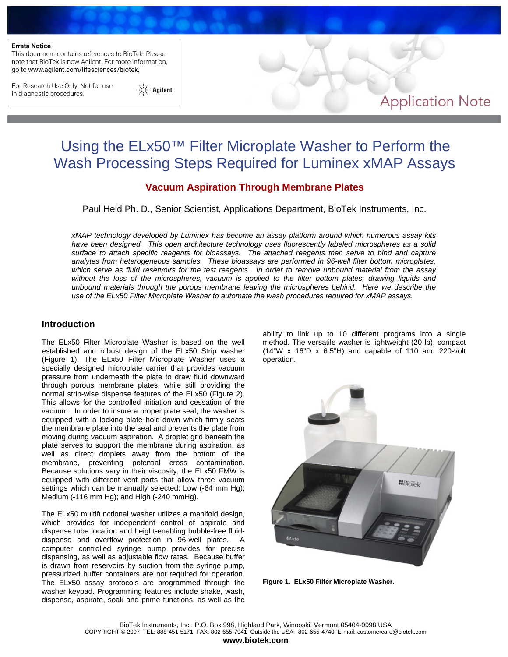#### **Errata Notice**

This document contains references to BioTek. Please note that BioTek is now Agilent. For more information, go to www.agilent.com/lifesciences/biotek.

For Research Use Only. Not for use in diagnostic procedures.



# **Application Note**

# Using the ELx50™ Filter Microplate Washer to Perform the Wash Processing Steps Required for Luminex xMAP Assays

# **Vacuum Aspiration Through Membrane Plates**

Paul Held Ph. D., Senior Scientist, Applications Department, BioTek Instruments, Inc.

*xMAP technology developed by Luminex has become an assay platform around which numerous assay kits have been designed. This open architecture technology uses fluorescently labeled microspheres as a solid surface to attach specific reagents for bioassays. The attached reagents then serve to bind and capture analytes from heterogeneous samples. These bioassays are performed in 96-well filter bottom microplates, which serve as fluid reservoirs for the test reagents. In order to remove unbound material from the assay without the loss of the microspheres, vacuum is applied to the filter bottom plates, drawing liquids and unbound materials through the porous membrane leaving the microspheres behind. Here we describe the use of the ELx50 Filter Microplate Washer to automate the wash procedures required for xMAP assays.*

#### **Introduction**

The ELx50 Filter Microplate Washer is based on the well established and robust design of the ELx50 Strip washer (Figure 1). The ELx50 Filter Microplate Washer uses a specially designed microplate carrier that provides vacuum pressure from underneath the plate to draw fluid downward through porous membrane plates, while still providing the normal strip-wise dispense features of the ELx50 (Figure 2). This allows for the controlled initiation and cessation of the vacuum. In order to insure a proper plate seal, the washer is equipped with a locking plate hold-down which firmly seats the membrane plate into the seal and prevents the plate from moving during vacuum aspiration. A droplet grid beneath the plate serves to support the membrane during aspiration, as well as direct droplets away from the bottom of the membrane, preventing potential cross contamination. Because solutions vary in their viscosity, the ELx50 FMW is equipped with different vent ports that allow three vacuum settings which can be manually selected: Low (-64 mm Hg); Medium (-116 mm Hg); and High (-240 mmHg).

The ELx50 multifunctional washer utilizes a manifold design, which provides for independent control of aspirate and dispense tube location and height-enabling bubble-free fluiddispense and overflow protection in 96-well plates. A computer controlled syringe pump provides for precise dispensing, as well as adjustable flow rates. Because buffer is drawn from reservoirs by suction from the syringe pump, pressurized buffer containers are not required for operation. The ELx50 assay protocols are programmed through the washer keypad. Programming features include shake, wash, dispense, aspirate, soak and prime functions, as well as the

ability to link up to 10 different programs into a single method. The versatile washer is lightweight (20 lb), compact (14"W x 16"D x 6.5"H) and capable of 110 and 220-volt operation.



**Figure 1. ELx50 Filter Microplate Washer.** 

BioTek Instruments, Inc., P.O. Box 998, Highland Park, Winooski, Vermont 05404-0998 USA COPYRIGHT © 2007 TEL: 888-451-5171 FAX: 802-655-7941 Outside the USA: 802-655-4740 E-mail: customercare@biotek.com **www.biotek.com**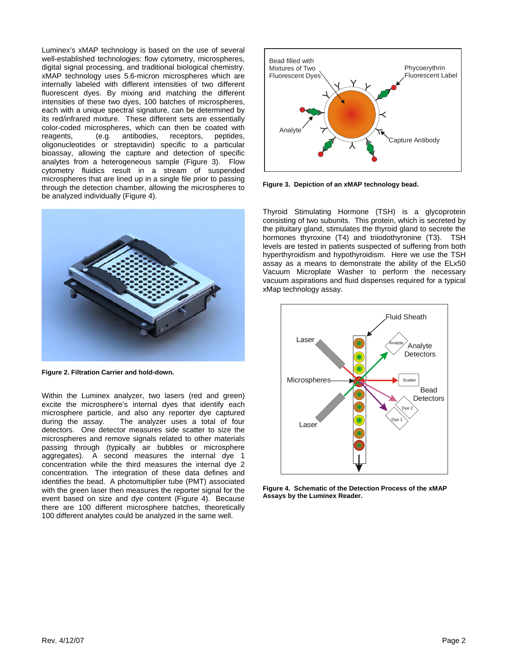Luminex's xMAP technology is based on the use of several well-established technologies: flow cytometry, microspheres, digital signal processing, and traditional biological chemistry. xMAP technology uses 5.6-micron microspheres which are internally labeled with different intensities of two different fluorescent dyes. By mixing and matching the different intensities of these two dyes, 100 batches of microspheres, each with a unique spectral signature, can be determined by its red/infrared mixture. These different sets are essentially color-coded microspheres, which can then be coated with reagents, (e.g. antibodies, receptors, peptides, oligonucleotides or streptavidin) specific to a particular bioassay, allowing the capture and detection of specific analytes from a heterogeneous sample (Figure 3). Flow cytometry fluidics result in a stream of suspended microspheres that are lined up in a single file prior to passing through the detection chamber, allowing the microspheres to be analyzed individually (Figure 4).



**Figure 2. Filtration Carrier and hold-down.** 

Within the Luminex analyzer, two lasers (red and green) excite the microsphere's internal dyes that identify each microsphere particle, and also any reporter dye captured during the assay. The analyzer uses a total of four detectors. One detector measures side scatter to size the microspheres and remove signals related to other materials passing through (typically air bubbles or microsphere aggregates). A second measures the internal dye 1 concentration while the third measures the internal dye 2 concentration. The integration of these data defines and identifies the bead. A photomultiplier tube (PMT) associated with the green laser then measures the reporter signal for the event based on size and dye content (Figure 4). Because there are 100 different microsphere batches, theoretically 100 different analytes could be analyzed in the same well.



**Figure 3. Depiction of an xMAP technology bead.** 

Thyroid Stimulating Hormone (TSH) is a glycoprotein consisting of two subunits. This protein, which is secreted by the pituitary gland, stimulates the thyroid gland to secrete the hormones thyroxine (T4) and triiodothyronine (T3). TSH levels are tested in patients suspected of suffering from both hyperthyroidism and hypothyroidism. Here we use the TSH assay as a means to demonstrate the ability of the ELx50 Vacuum Microplate Washer to perform the necessary vacuum aspirations and fluid dispenses required for a typical xMap technology assay.



**Figure 4. Schematic of the Detection Process of the xMAP Assays by the Luminex Reader.**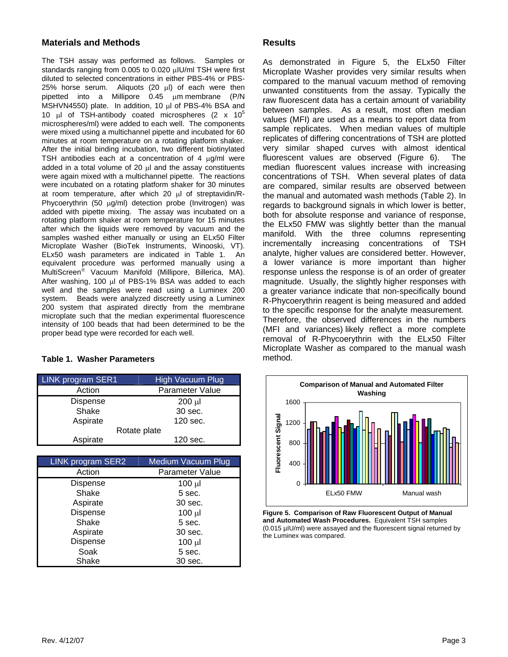## **Materials and Methods**

The TSH assay was performed as follows. Samples or standards ranging from 0.005 to 0.020 μIU/ml TSH were first diluted to selected concentrations in either PBS-4% or PBS-25% horse serum. Aliquots (20 μl) of each were then pipetted into a Millipore 0.45 μm membrane (P/N MSHVN4550) plate. In addition, 10 μl of PBS-4% BSA and 10 μl of TSH-antibody coated microspheres (2 x  $10^5$ microspheres/ml) were added to each well. The components were mixed using a multichannel pipette and incubated for 60 minutes at room temperature on a rotating platform shaker. After the initial binding incubation, two different biotinylated TSH antibodies each at a concentration of 4 μg/ml were added in a total volume of 20 μl and the assay constituents were again mixed with a multichannel pipette. The reactions were incubated on a rotating platform shaker for 30 minutes at room temperature, after which 20 μl of streptavidin/R-Phycoerythrin (50 μg/ml) detection probe (Invitrogen) was added with pipette mixing. The assay was incubated on a rotating platform shaker at room temperature for 15 minutes after which the liquids were removed by vacuum and the samples washed either manually or using an ELx50 Filter Microplate Washer (BioTek Instruments, Winooski, VT). ELx50 wash parameters are indicated in Table 1. An equivalent procedure was performed manually using a MultiScreen® Vacuum Manifold (Millipore, Billerica, MA). After washing, 100 μl of PBS-1% BSA was added to each well and the samples were read using a Luminex 200 system. Beads were analyzed discreetly using a Luminex 200 system that aspirated directly from the membrane microplate such that the median experimental fluorescence intensity of 100 beads that had been determined to be the proper bead type were recorded for each well.

### **Table 1. Washer Parameters**

| LINK program SER1 | <b>High Vacuum Plug</b> |  |  |
|-------------------|-------------------------|--|--|
| Action            | Parameter Value         |  |  |
| <b>Dispense</b>   | $200 \mu$               |  |  |
| Shake             | 30 sec.                 |  |  |
| Aspirate          | 120 sec.                |  |  |
| Rotate plate      |                         |  |  |
| Aspirate          | 120 sec.                |  |  |

| <b>LINK program SER2</b> | <b>Medium Vacuum Plug</b> |  |  |
|--------------------------|---------------------------|--|--|
| Action                   | Parameter Value           |  |  |
| Dispense                 | $100 \mu$                 |  |  |
| Shake                    | 5 sec.                    |  |  |
| Aspirate                 | 30 sec.                   |  |  |
| Dispense                 | $100 \mu$                 |  |  |
| Shake                    | 5 sec.                    |  |  |
| Aspirate                 | 30 sec.                   |  |  |
| Dispense                 | $100 \mu$                 |  |  |
| Soak                     | 5 sec.                    |  |  |
| Shake                    | 30 sec.                   |  |  |

## **Results**

As demonstrated in Figure 5, the ELx50 Filter Microplate Washer provides very similar results when compared to the manual vacuum method of removing unwanted constituents from the assay. Typically the raw fluorescent data has a certain amount of variability between samples. As a result, most often median values (MFI) are used as a means to report data from sample replicates. When median values of multiple replicates of differing concentrations of TSH are plotted very similar shaped curves with almost identical fluorescent values are observed (Figure 6). The median fluorescent values increase with increasing concentrations of TSH. When several plates of data are compared, similar results are observed between the manual and automated wash methods (Table 2). In regards to background signals in which lower is better, both for absolute response and variance of response, the ELx50 FMW was slightly better than the manual manifold. With the three columns representing incrementally increasing concentrations of TSH analyte, higher values are considered better. However, a lower variance is more important than higher response unless the response is of an order of greater magnitude. Usually, the slightly higher responses with a greater variance indicate that non-specifically bound R-Phycoerythrin reagent is being measured and added to the specific response for the analyte measurement. Therefore, the observed differences in the numbers (MFI and variances) likely reflect a more complete removal of R-Phycoerythrin with the ELx50 Filter Microplate Washer as compared to the manual wash method.



**Figure 5. Comparison of Raw Fluorescent Output of Manual and Automated Wash Procedures.** Equivalent TSH samples (0.015 µIU/ml) were assayed and the fluorescent signal returned by the Luminex was compared.